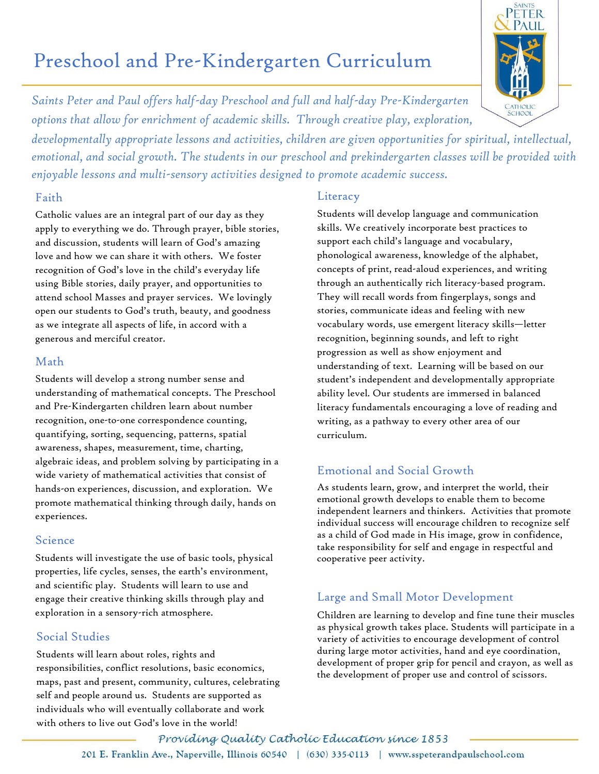# Preschool and Pre-Kindergarten Curriculum

*Saints Peter and Paul offers half-day Preschool and full and half-day Pre-Kindergarten options that allow for enrichment of academic skills. Through creative play, exploration,* 

*developmentally appropriate lessons and activities, children are given opportunities for spiritual, intellectual, emotional, and social growth. The students in our preschool and prekindergarten classes will be provided with enjoyable lessons and multi-sensory activities designed to promote academic success.*

#### Faith

Catholic values are an integral part of our day as they apply to everything we do. Through prayer, bible stories, and discussion, students will learn of God's amazing love and how we can share it with others. We foster recognition of God's love in the child's everyday life using Bible stories, daily prayer, and opportunities to attend school Masses and prayer services. We lovingly open our students to God's truth, beauty, and goodness as we integrate all aspects of life, in accord with a generous and merciful creator.

### Math

Students will develop a strong number sense and understanding of mathematical concepts. The Preschool and Pre-Kindergarten children learn about number recognition, one-to-one correspondence counting, quantifying, sorting, sequencing, patterns, spatial awareness, shapes, measurement, time, charting, algebraic ideas, and problem solving by participating in a wide variety of mathematical activities that consist of hands-on experiences, discussion, and exploration. We promote mathematical thinking through daily, hands on experiences.

## Science

Students will investigate the use of basic tools, physical properties, life cycles, senses, the earth's environment, and scientific play. Students will learn to use and engage their creative thinking skills through play and exploration in a sensory-rich atmosphere.

# Social Studies

Students will learn about roles, rights and responsibilities, conflict resolutions, basic economics, maps, past and present, community, cultures, celebrating self and people around us. Students are supported as individuals who will eventually collaborate and work with others to live out God's love in the world!

#### **Literacy**

Students will develop language and communication skills. We creatively incorporate best practices to support each child's language and vocabulary, phonological awareness, knowledge of the alphabet, concepts of print, read-aloud experiences, and writing through an authentically rich literacy-based program. They will recall words from fingerplays, songs and stories, communicate ideas and feeling with new vocabulary words, use emergent literacy skills—letter recognition, beginning sounds, and left to right progression as well as show enjoyment and understanding of text. Learning will be based on our student's independent and developmentally appropriate ability level. Our students are immersed in balanced literacy fundamentals encouraging a love of reading and writing, as a pathway to every other area of our curriculum.

# Emotional and Social Growth

As students learn, grow, and interpret the world, their emotional growth develops to enable them to become independent learners and thinkers. Activities that promote individual success will encourage children to recognize self as a child of God made in His image, grow in confidence, take responsibility for self and engage in respectful and cooperative peer activity.

# Large and Small Motor Development

Children are learning to develop and fine tune their muscles as physical growth takes place. Students will participate in a variety of activities to encourage development of control during large motor activities, hand and eye coordination, development of proper grip for pencil and crayon, as well as the development of proper use and control of scissors.